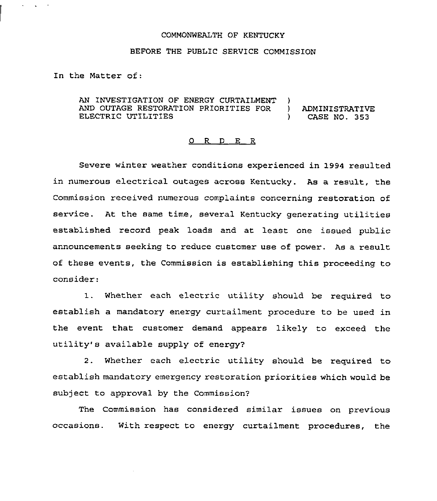#### COMMONWEALTH OF KENTUCKY

#### BEFORE THE PUBLIC SERVICE COMMISSION

In the Matter of:

AN INVESTIGATION OF ENERGY CURTAILMENT )<br>AND OUTAGE RESTORATION PRIORITIES FOR ) AND OUTAGE RESTORATION PRIORITIES FOR ) ADMINISTRATIVE ELECTRIC UTILITIES (2002)

#### 0 R <sup>D</sup> E R

Severe winter weather conditions experienced in 1994 resulted in numerous electrical outages across Kentucky. As a result, the Commission received numerous complaints concerning restoration of service. At the same time, several Kentucky generating utilities established record peak loads and at least one issued public announcements seeking to reduce customer use of power. As a result of these events, the Commission is establishing this proceeding to consider':

1. Whether each electric utility should be required to establish a mandatory energy curtailment procedure to be used in the event that customer demand appears likely to exceed the utility' available supply of energy)

2. Whether each electric utility should be required to establish mandatory emergency restoration priorities which would be subject to approval by the Commission?

The Commission has considered similar issues on previous occasions. With respect to energy curtailment procedures, the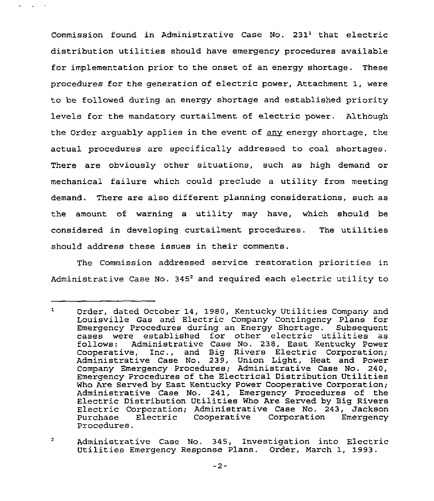Commission found in Administrative Case No.  $231<sup>1</sup>$  that electric distribution utilities should have emergency procedures available for implementation prior to the onset of an energy shortage. These procedures for the generation of electric power, Attachment 1, were to be followed during an energy shortage and established priority levels for the mandatory curtailment of electric power. Although the Order arquably applies in the event of any energy shortage, the actual procedures are specifically addressed to coal shortages. There are obviously other situations, such as high demand or mechanical failure which could preclude a utility from meeting demand. There are also different planning considerations, such as the amount of warning a utility may have, which should be considered in developing curtailment procedures. The utilities should address these issues in their comments.

The Commission addressed service restoration priorities in Administrative Case No. 345<sup>2</sup> and required each electric utility to

 $\mathbf{L}$ Order, dated October 14, 1980, Kentucky Utilities Company and Louisville Gas and Electric Company Contingency Plans for Emergency Procedures during an Energy Shortage. Subsequent cases were established for other electric utilities as<br>follows: Administrative Case No. 238, East Kentucky Power Administrative Case No. 238, East Kentucky Power Cooperative, Inc., and Big Rivers Electric Corporation; Administrative Case No. 239, Union Light, Heat and Power Company Emergency Procedures; Administrative Case No. 240, Emergency Procedures of the Electrical Distribution Utilities Who Are Served by East Kentucky Power Cooperative Corporation; Administrative Case No. 241, Emergency Procedures of the Electric Distribution Utilities Who Are Served by Big Rivers Electric Corporation; Administrative Case No. 243, Jackson Electric Cooperative Corporation Procedures.

 $\overline{a}$ Administrative Case No. 345, Investigation into Electric Utilities Emergency Response Plans. Order, March 1, 1993.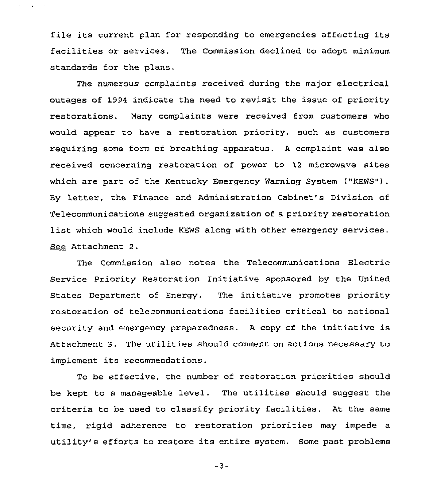file its current plan for responding to emergencies affecting its facilities or services. The Commission declined to adopt minimum standards for the plans.

 $\Delta \sim 10^{-10}$ 

The numerous complaints received during the major electrical outages of 1994 indicate the need to revisit the issue of priority restorations. Many complaints were received from customers who would appear to have a restoration priority, such as customers requiring some form of breathing apparatus. <sup>A</sup> complaint was also received concerning restoration of power to 12 microwave sites which are part of the Kentucky Emergency Warning System ("KEWS"). By letter, the Finance and Administration Cabinet's Division of Telecommunications suggested organization of a priority restoration list which would include KEWS along with other emergency services. See Attachment 2.

The Commission also notes the Telecommunications Electric Service Priority Restoration Initiative sponsored by the United States Department of Energy. The initiative promotes priority restoration of telecommunications facilities critical to national security and emergency preparedness. <sup>A</sup> copy of the initiative is Attachment 3. The utilities should comment on actions necessary to implement its recommendations.

To be effective, the number of restoration priorities should be kept to a manageable level. The utilities should suggest the criteria to be used to classify priority facilities. At the same time, rigid adherence to restoration priorities may impede a utility's efforts to restore its entire system. Some past problems

 $-3-$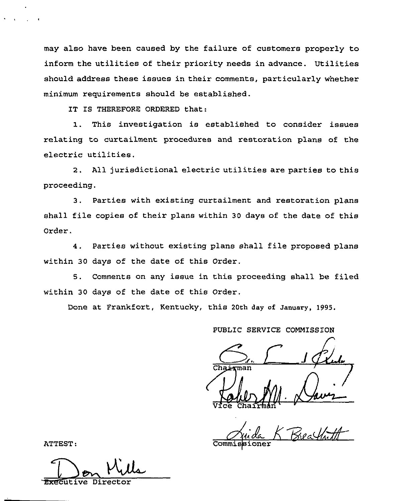may also have been caused by the failure of customers properly to inform the utilities of their priority needs in advance. Utilities should address these issues in their comments, particularly whether minimum requirements should be established.

IT IS THEREFORE ORDERED that:

1. This investigation is established to consider issues relating to curtailment procedures and restoration plans of the electric utilities.

2. All jurisdictional electric utilities are parties to this proceeding.

3. Parties with existing curtailment and restoration plans shall file copies of theix plans within <sup>30</sup> days of the date of this Oxder.

4. Parties without existing plans shall file proposed plans within 30 days of the date of this Order.

S. Comments on any issue in this proceeding shall be filed within 30 days of the date of this Order.

Done at Frankfort, Kentucky, this 20th day of January, 1995.

PUBLIC SERVICE COMMISSION

 $S_{n}$   $\frac{1}{\sqrt{2}}$ Vice Kahle M  $\sqrt{4w^2}$ 

'TTEST

ATTEST:

Ecutive Direct

Commis**s**ione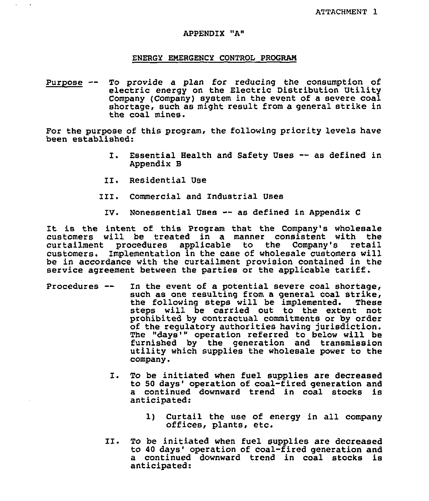#### APPENDIX "A"

#### ENERGY EMERGENCY CONTROL PROGRAM

Purpose -- To provide <sup>a</sup> plan for reducing the consumption of electric energy on the Electric Distribution Utility Company (Company) system in the event of a severe coal shortage, such as might result from a general strike in the coal mines.

For the purpose of this program, the following priority levels have been established:

- I. Essential Health and Safety Uses -- as defined in Appendix B
- II, Residential Use
- III. Commercial and Industrial Uses
	- IV. Nonessential Uses -- as defined in Appendix C

It is the intent of this Program that the Company's wholesale customers will be treated in a manner consistent with the<br>curtailment procedures applicable to the Company's retail curtailment procedures applicable to the Company's customers. Implementation in the case of wholesale customers will be in accordance with the curtailment provision contained in the service agreement between the parties or the applicable tariff.

- Procedures— In the event of a potential severe coal shortage, such as one resulting from a general coal strike,<br>the following steps will be implemented. These the following steps will be implemented. steps will be carried out to the extent not prohibited by contractual commitments or by order of the regulatory authorities having jurisdiction. The "days'" operation referred to below will be<br>furnished by the generation and transmission utility which supplies the wholesale power to the company.
	- I. To be initiated when fuel supplies are decreased to 50 days' operation of coal-fired generation and a continued downward trend in coal stocks is anticipated:
		- 1) Curtail the use of energy in all company offices, plants, etc.
	- II. To be initiated when fuel supplies are decreased to 40 days' operation of coal-fired generation and <sup>a</sup> continued downward trend in coal stocks is anticipated: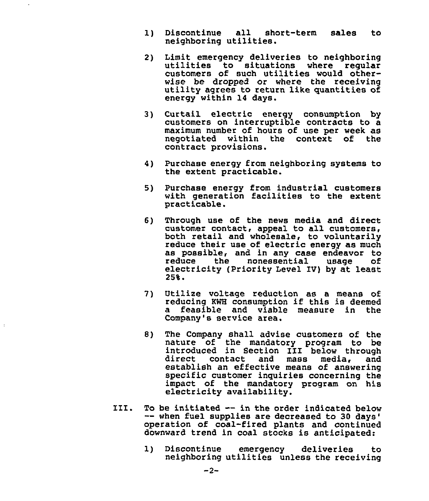1) Discontinue all short-term sales to neighboring utilities.

 $\mathbf{r}$ 

 $\mathbf{r}$ 

- 2) Limit emergency deliveries to neighboring utilities to situations where regular customers of such utilities would other-<br>wise be dropped or where the receiving utility agrees to return like quantities of energy within 14 days.
- $31$ Curtail electric energy consumption by customers on interruptible contracts to a maximum number of hours of use per week as<br>negotiated within the context of the negotiated within the context of contract provisions.
- 4) Purchase energy from neighboring systems to the extent practicable.
- 5) Purchase energy from industrial customers with generation facilities to the extent practicable.
- Through use of the news media and direct 6) customer contact, appeal to all customers, both retail and wholesale, to voluntarily reduce their use of electric energy as much as possible, and in any case endeavor to electricity (Priority Level IV) by at least 25%.
- Utilize voltage reduction as a means of **7** 1 reducing KWB consumption if this is deemed a feasible and viable measure in the Company's service area.
- 8) The Company shall advise customers of the nature of the mandatory program to be introduced in Section I1I below through direct contact and mass media, and establish an effective means of answering specific customer inquiries concerning the impact of the mandatory program on his electricity availability.
- III. To be initiated  $-$  in the order indicated below -- when fuel supplies are decreased to 30 days' operation of coal-fired plants and continued downward trend in coal stocks is anticipated:
	- 1) Discontinue emergency deliveries to neighboring utilities unless the receiving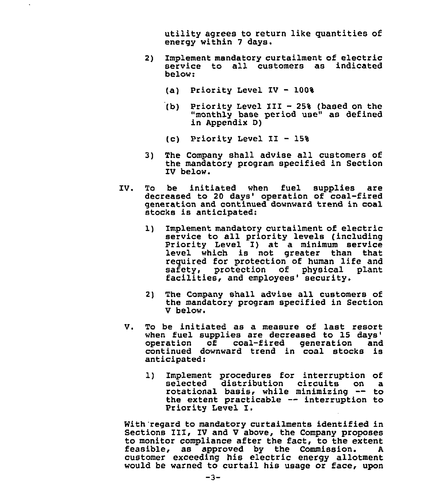utility agrees to return like quantities of energy within 7 days.

- 2} Implement mandatory curtailment of electric service to all customers as indicated below:
	- (a) Priority Level IV —

 $\overline{a}$ 

- $(b)$ Priority Level III - 25% (based on the "monthly base period use" as defined in Appendix 0)
- (c) Priority Level II 15%
- 3) The Company shall advise all customers of the mandatory program specified in Section IV below.
- 1V. To be initiated when fuel supplies are decreased to 20 days' operation of coal-fired generation and continued downward trend in coal stocks is anticipated:
	- 1) Implement mandatory curtailment of electric<br>service to all priority levels (including Priority Level I) at a minimum service level which is not greater than that required for protection of human life and safety, protection of physical plant facilities, and employees' security.
	- 2) The Company shall advise all customers of the mandatory program specified in Section V below.
	- V. To be initiated as a measure of last resort when fuel supplies are decreased to 15 days'<br>operation of coal-fired generation and continued downward trend in coal stocks is anticipated:
		- 1) Implement procedures for interruption of<br>selected distribution circuits on a selected distribution circuits on a<br>rotational basis, while minimizing -- to rotational basis, while minimizing -- to<br>the extent practicable -- interruption to<br>Priority Level I.

With'regard to mandatory curtailments identified in Sections III, IV and <sup>V</sup> above, the Company proposes to monitor compliance after the fact, to the extent feasible, as approved by the Commission. customer exceeding his electric energy allotment would be warned to curtail his usage or face, upon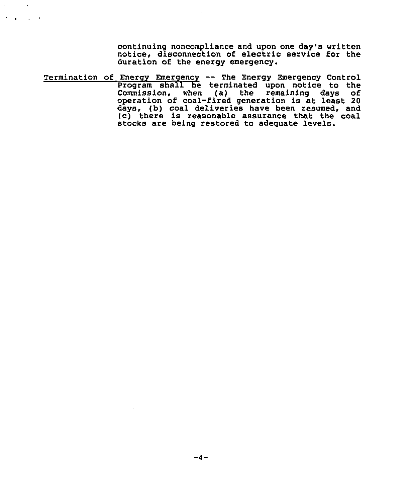continuing noncompliance and upon one day's written notice, disconnection of electric service for the duration of the energy emergency.

Termination of Energy Emergency -- The Energy Emergency Control Program shall be terminated upon notice to the Commission, when (a) the remaining days of operation of coal-fired generation is at least 20 days, (b) coal deliveries have been resumed, and (c) there is reasonable assurance that the coal stocks are being restored to adequate levels.

 $\mathbf{v}^{\prime}$ 

 $\sim 10^7$  $\sigma_{\rm{max}}=1.000$  km s  $^{-1}$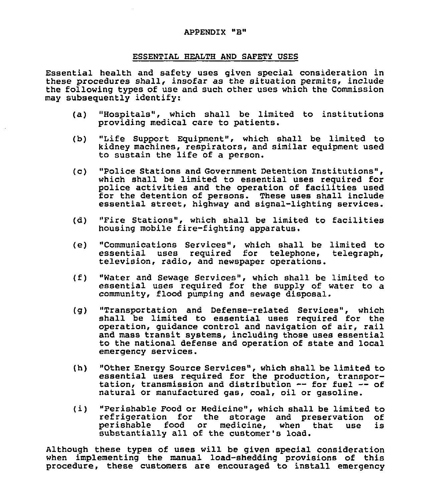#### ESSENTIAL HEALTH AND SAFETY USES

Essential health and safety uses given special consideration in these procedures shall, insofar as the situation permits, include the following types of use and such other uses which the Commission may subsequently identify:

- (a) "Hospitals", which shall be limited to institutions providing medical care to patients.
- (b) "Life Support Equipment", which shall be limited to kidney machines, respirators, and similar equipment used to sustain the life of a person.
- (c) "Police Stations and Government Detention Institutions", which shall be limited to essential uses required for police activities and the operation of facilities used<br>for the detention of persons. These uses shall include essential street, highway and signal-lighting services.
- (d) "Fire Stations", which shall be limited to facilities housing mobile fire-fighting apparatus,
- (e) "Communications Services", which shall be limited to essential uses required for telephone, telegraph, television, radio, and newspaper operations.
- (f) "Water and Sewage Services", which shall be limited to essential uses required for the supply of water to <sup>a</sup> community, flood pumping and sewage disposal.
- (g) "Transportation and Defense-related Services", which shall be limited to essential uses required for the operation, quidance control and navigation of air, rail and mass transit systems, including those uses essential to the national defense and operation of state and local emergency services.
- (h) "Other Energy Source Services", which shall be limited to essential uses required for the production, transpor-<br>tation, transmission and distribution -- for fuel -- of natural or manufactured gas, coal, oil or gasoline.
- (i) "Perishable Food or Medicine", which shall be limited to<br>refrigeration for the storage and preservation of<br>perishable food or medicine, when that use is medicine, when that use is substantially all of the customer's load.

Although these types of uses will be given special consideration when implementing the manual load-shedding provisions of this procedure, these customers are encouraged to install emergency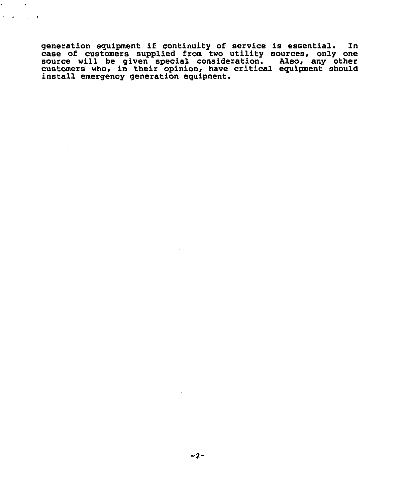generation equipment if continuity of service is essential. In case of customers supplied from two utility sources, only one source will be given special consideration. Also, any other source will be given special consideration. Also, any other<br>customers who, in their opinion, have critical equipment shoul<br>install emergency generation equipment.

 $\mathcal{L}^{\text{max}}$  and  $\mathcal{L}^{\text{max}}$  $\lambda = 4$  ,  $\lambda = 1$  ,  $\lambda$ 

 $\overline{a}$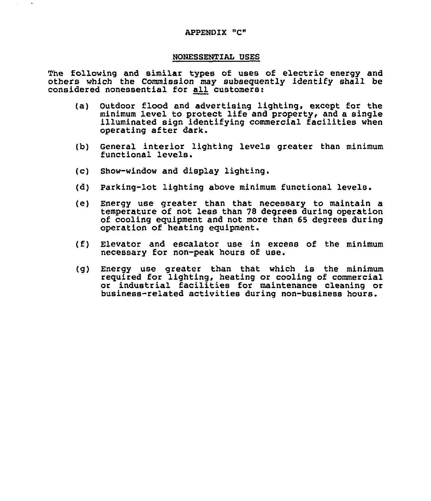#### APPENDIX "C"

#### NONESSENTIAL VSES

The following and similar types of uses of electric energy and others which the Commission may subsequently identify shall be considered nonessential for all customers:

- (a) Outdoor flood and advertising lighting, except for the minimum level to protect life and property, and a single illuminated sign identifying commercial facilities when operating after dark.
- (b) General interior lighting levels greater than minimum functional levels.
- (c) Show-window and display lighting.
- (d) Parking-lot lighting above minimum functional levels
- (e) Energy use greater than that necessary to maintain a temperature of not less than 78 degrees during operation of cooling equipment and not more than 65 degrees during operation of heating equipment.
- (f) Elevator and escalator use in excess of the minimum necessary for non-peak hours of use.
- (g) Energy use greater than that which is the minimum required for lighting, heating or cooling of commercial or industrial facilities for maintenance cleaning or business-related activities during non-business hours.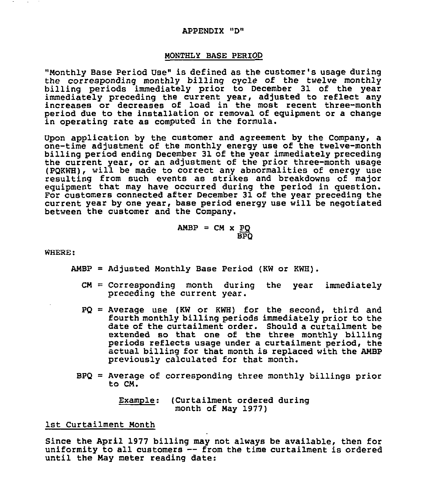#### APPENDIX "D"

#### MONTHLY BASE PERIOD

"Monthly Base period Use" is defined as the customer's usage during the corresponding monthly billing cycle of the twelve monthly billing periods immediately prior to December 31 of the year immediately preceding the current year, adjusted to reflect any increases or decreases of load in the most recent three-mont period due to the installation or removal of equipment or a change in operating rate as computed in the formula.

Upon application by the customer and agreement by the Company, a one-time adjustment of the monthly energy use of the twelve-month billing period ending December 31 of the year immediately preceding the current year, or an adjustment of the prior three-month usage (PQKWH), will be made to correct any abnormalities of energy use resulting from such events as strikes and breakdowns of major equipment that may have occurred during the period in guestion. For customers connected after December 31 of the year preceding the current year by one year, base period energy use will be negotiated between the customer and the Company,

$$
AMBP = CM \times \frac{PQ}{BPQ}
$$

WHERE:

- $AMBP = Adjusted Monthly Base Period (KW or KWH).$ 
	- $CM = Corresponding$  month during the year immediately preceding the current year.
	- $PQ =$  Average use (KW or KWH) for the second, third and fourth monthly billing periods immediately prior to the date of the curtailment order. Should a curtailment be extended so that one of the three monthly billing periods reflects usage under a curtailment period, the actual billing for that month is replaced with the ANBP previously calculated for that month.
	- BPQ = Average of corresponding three monthly billings prior to CM.

Example: (Curtailment ordered during month of Nay 1977)

1st Curtailment Month

Since the April 1977 billing may not always be available, then for<br>uniformity to all customers -- from the time curtailment is ordered uniformity to all customers -- from the time curtailment is ordered until the May meter reading date: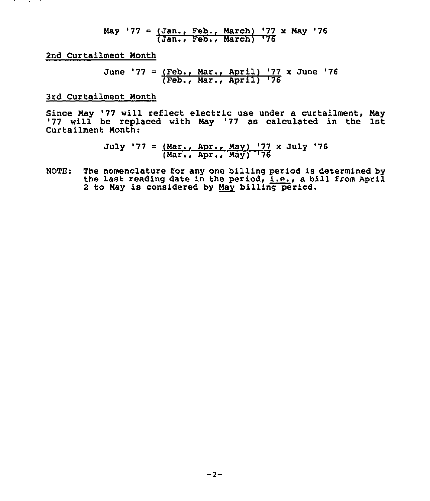May '77 = 
$$
\frac{\text{Jan.}}{\text{Jan.}}
$$
, Feb., March) '77 x May '76

2nd Curtailment Month

June '77 = 
$$
(Feb., Mar., April) '77 x June '76 (Feb., Mar., April) '76
$$

3rd Curtailment Month

Since Nay '77 will reflect electric use under <sup>a</sup> curtailment, Nay '77 will be replaced with Nay '77 as calculated in the 1st Curtailment Month:

> July '77 = (Mar., Apr., May) '77 x July '76 (Mar., Apr., May) '76

NQTE: The nomenclature for any one billing period is determined by the last reading date in the period, i.e., <sup>a</sup> bill from April 2 to May is considered by May billing period.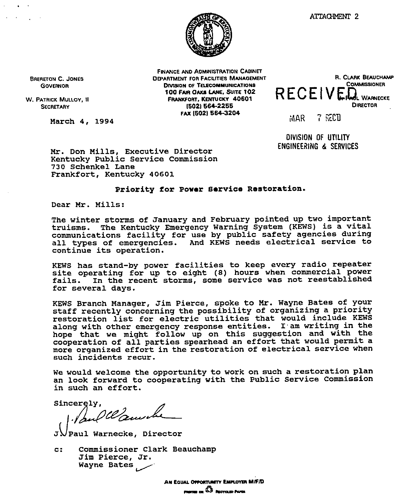

BRERETON C. JONES GOVERNOR

W. PATRICK MULLOY, II **SECRETARY** 

March 4, 1994

FINANCE AND ADMINISTRATION CABINET DEPARTMENT FOR FACILITIES MANAGEMENT DIVISION OF TELECOMMUNICATIONS 'F00 FMR OAKR LANE, SUIrE'02 FRANKFORT, KENTUCKY 40601 (5021 664-2265 FAK (502) 564-3204



 $MAR$   $-7$   $RED$ 

DIVISION OF UTILITY ENGINEERING d SERVICES

Mr. Don Mills, Executive Director Kentucky Public Service Commission 730 Schenkel Lane Frankfort, Kentucky 40601

#### Priority for power service Restoration.

Dear Mr. Mills:

The winter storms of January and February pointed up two important truisms. The Kentucky Emergency Warning System (KEWS) is a vital communications facility for use by public safety agencies during all types of emergencies. And KEWS needs electrical service to continue its operation.

KEWS has stand-by power facilities to keep every radio repeater site operating for up to eight (8) hours when commercial power fails. In the recent storms, some service was not reestablished for several days.

KEWS Branch Manager, Jim pierce, spoke to Mr. wayne Bates of your staff recently concerning the possibility of organizing a priority restoration list for electric utilities that would include KEWS along with other emergency response entities. I am writing in the hope that we might follow up on this suggestion and with the cooperation of all parties spearhead an effort that would permit a more organized effort in the restoration of electrical service when such incidents recur.

We would welcome the opportunity to work on such a restoration plan an look forward to cooperating with the Public Service Commission<br>in such an effort.

sincerely.

Paul Warnecke, Director

cr Commissioner Clark Beauchamp Jim Pierce, Jr. Wayne Bates

> AN EQUAL OFFORTUNITY EMPLOYER MIFID  $_{\rm mean}$  or  $\Omega$  regram funk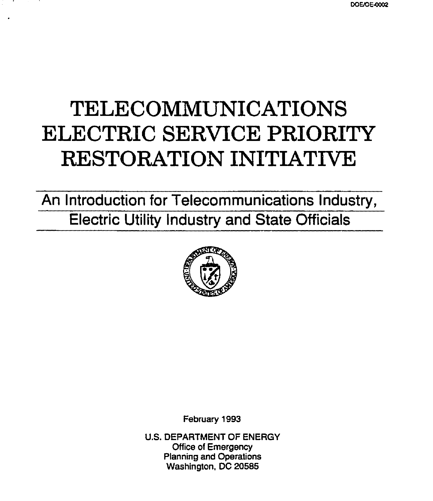# TELECOMMUNICATIONS ELECTRIC SERVICE PRIORITY RESTORATION INITIATIVE

An Introduction for Telecommunications Industry, Electric Utility Industry and State Officials



February 1993

U.S. DEPARTMENT OF ENERGY Office of Emergency Planning and Operations Washington, DC 205S5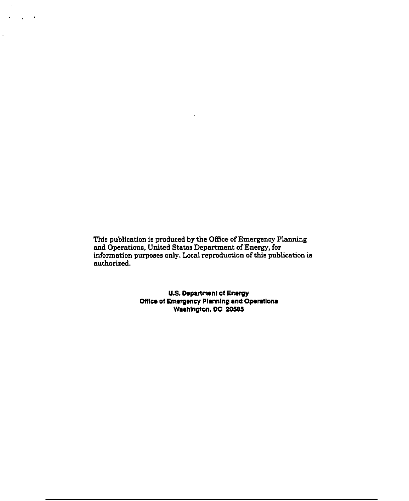This publication is produced by the Office of Emergency Plannin and Operations, United States Department ofEnergy, for information purposes only. Local reproduction of this publication is  $\;$ authorized.

 $\alpha$  ,  $\beta$  ,  $\beta$  ,  $\beta$ 

t,

U.S.Department or Energy Office of Emergency Planning and Operation<br>Washington, DC 20585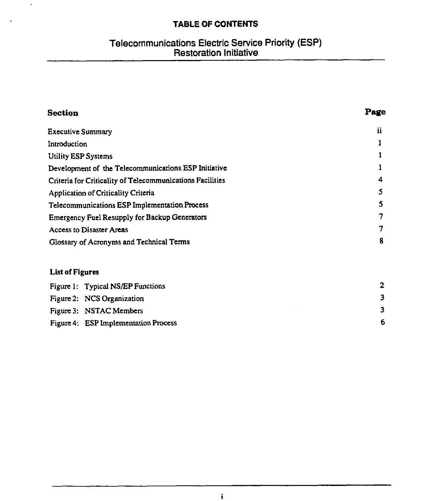# TABLE OF CONTENTS

 $\ddot{\phantom{a}}$ 

# Telecommunications Electric Service Priority (ESP) Restoration Initiative

| Section                                                   | Page |
|-----------------------------------------------------------|------|
| <b>Executive Summary</b>                                  | ii   |
| Introduction                                              |      |
| Utility ESP Systems                                       |      |
| Development of the Telecommunications ESP Initiative      |      |
| Criteria for Criticality of Telecommunications Facilities | 4    |
| Application of Criticality Criteria                       | 5    |
| Telecommunications ESP Implementation Process             | S    |
| <b>Emergency Fuel Resupply for Backup Generators</b>      | 7    |
| <b>Access to Disaster Areas</b>                           | 7    |
| Glossary of Acronyms and Technical Terms                  | 8    |
| <b>List of Figures</b>                                    |      |
| Figure 1: Typical NS/EP Functions                         | 2    |
| Figure 2: NCS Organization                                | 3    |
| Figure 3: NSTAC Members                                   | 3    |
| Figure 4: ESP Implementation Process                      | 6    |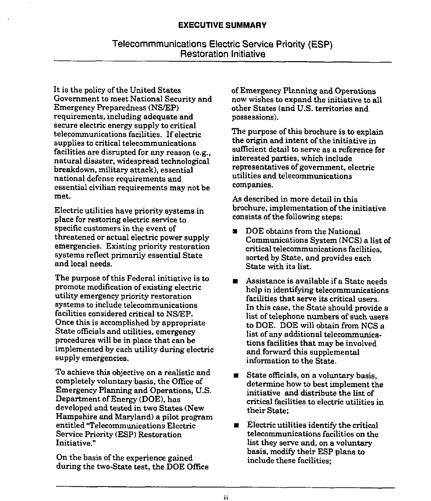It is the policy of the United States Government to meet National Security and Emergency Preparedness (NS/EP) requirements, including adequate and secure electric energy supply to critical telecommunications facilities. If electric supplies to critical telecommunications facilities are disrupted for any reason (e.g., natural disaster, widespread technological breakdown, military attack), essential national defense requirements and essential civilian requirements may not be met.

Electric utilities have priority systems in place for restoring electric service to specific customers in the event of threatened or actual electric power supply emergencies. Existing priority restoration systems reflect primarily essential State and local needs.

The purpose of this Federal initiative is to promote modification of existing electric utility emergency priority restoration systems to include telecommunications facilities considered critical to NS/EP. Once this is accomplished by appropriate State officials and utilities, emergency procedures will be in place that can be implemented by each utility during electric supply emergencies.

To achieve this objective on a realistic and completely voluntary basis, the Office of Emergency Planning and Operations, U.S. Department of Energy (DOE), has developed and tested in two States (New Hampshire and Maryland) a pilot program entitled "Telecommunications Electric Service Priority (ESP) Restoration Initiative."

On the basis of the experience gained during the two-State test, the DOE Office of Emergency Planning and Operations now wishes to expand the initiative to all other States (and U.S. territories and possessions).

The purpose of this brochure is to explain the origin and intent of the initiative in sufficient detail to serve as a reference for interested parties, which include representatives of government, electric utilities and telecommunications companies.

As described in more detail in this brochure, implementation of the initiative consists of the following steps:

- a DOE obtains from the National Communications System (NCS) a list of critical telecommunications facilities, sorted by State, and provides each State with its list.
- $\blacksquare$  Assistance is available if a State needs help in identifying telecommunications facilities that serve its critical users. In this case, the State should provide a list of telephone numbers of such users to DOE. DOE will obtain from NCS a list of any additional telecommunications facilities that may be involved and forward this supplemental information to the State.
- $\blacksquare$  State officials, on a voluntary basis, determine how to best implement the initiative and distribute the list of critical facilities to electric utilities in their State;
- $\blacksquare$  Electric utilities identify the critical telecommunications facilities on the list they serve and, on a voluntary basis, modify their ESP plans to include these facilities;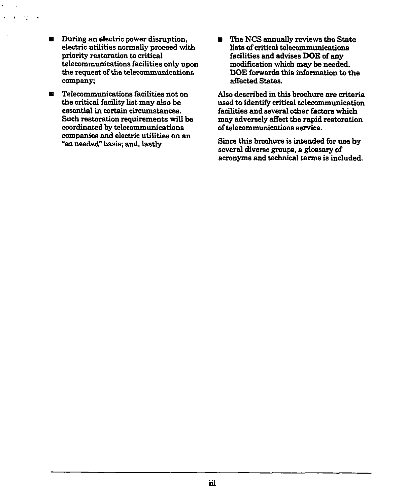**a** During an electric power disruption, electric utilities normally proceed with priority restoration to critical telecommunications facilities only upon the request of the telecommunications company;

 $\epsilon_{\rm eff}$ 

- **s** Telecommunications facilities not on the critical facility list may also be essential in certain circumstances. Such restoration requirements will be coordinated by telecommunications companies and electric utilities on an "as needed" basis; and, lastly
- The NCS annually reviews the State lists of critical telecommunications facilities and advises DOE of any modi6cation which may be needed. DOE forwards this information to the affected States.

Also described in this brochure are criteria used to identify critical telecommunication facilities and several other factors which may adversely affect the rapid restoration oftelecommunications service.

Since this brochure is intended for use by several diverse groups, a glossary of acronyms and technical terms is included.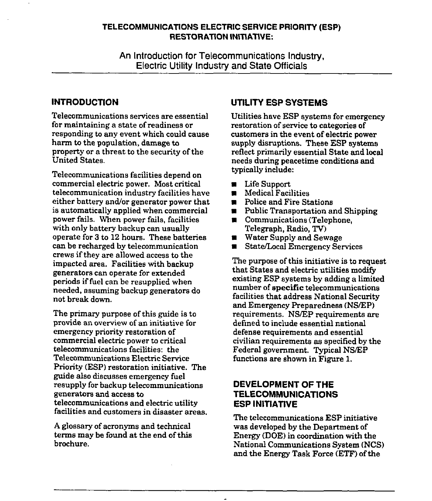## TELECOMMUNICATIONS ELECTRIC SERVICE PRIORITY (ESP) RESTORATION INITIATIVE:

An Introduction for Telecommunications Industry, Electric Utility Industry and State Officials

## INTRODUCTION

Telecommunications services are essential for maintaining a state of readiness or responding to any event which could cause harm to the population, damage to property or a threat to the security of the United States.

Telecommunications facilities depend on commercial electric power. Most critical telecommunication industry facilities have either battery and/or generator power that is automatically applied when commercial power fails. When power fails, facilities with only battery backup can usually operate for 3 to 12 hours. These batteries can be recharged by telecommunication crews if they are allowed access to the impacted area. Facilities with backup generators can operate for extended periods iffuel can be resupplied when needed, assuming backup generators do not break down.

The primary purpose of this guide is to provide an overview of an initiative for emergency priority restoration of commercial electric power to critical telecommunications facilities: the Telecommurucations Electric Service Priority (ESP) restoration initiative. The guide also discusses emergency fuel resupply for backup telecommunications generators and access to telecommunications and electric utility facilities and customers in disaster areas.

A glossary of acronyms and technical terms may be found at the end of this brochure.

## UTILITY ESP SYSTEMS

Utilities have ESP systems for emergency restoration of service to categories of customers in the event of electric power supply disruptions. These ESP systems reflect primarily essential State and local needs during peacetime conditions and typically include:

- Life Support<br>■ Medical Faci
- ~ Medical Facilities
- $\blacksquare$  Police and Fire Stations
- $\blacksquare$  Public Transportation and Shipping
- ~ Communications (Telephone, Telegraph, Radio, TV)
- Water Supply and Sewage
- a State/Local Emergency Services

The purpose of this initiative is to request that States and electric utilities modify existing ESP systems by adding a limited number of specific telecommunications facilities that address National Security and Emergency Preparedness (NS/EP) requirements. NS/EP requirements are defined to include essential national defense requirements and essential civilian requirements as specified by the Federal government. Typical NS/EP functions are shown in Figure 1.

## DEVELOPMENT OF THE TELECOMMUNICATIONS ESP INITIATIVE

The telecommunications ESP initiative was developed by the Department of Energy (DOE) in coordination with the National Communications System (NCS) and the Energy Task Force (ETF) of the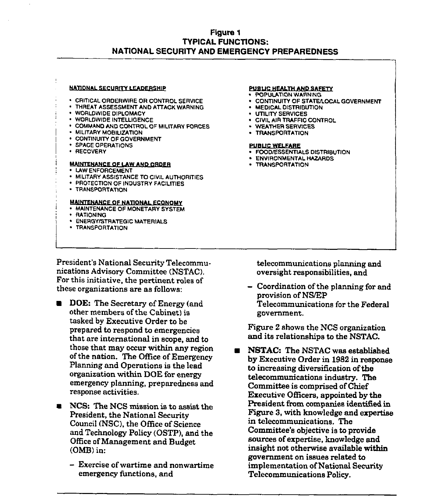## Figure 1 TYPICAL FUNCTIONS: NATIONAL SECURITY AND EMERGENCY PREPAREDNESS

#### NATIONAL SECURITY LEADERSHIP

- CRITICAL ORDERWIRE OR CONTROL SERVICE
- THREAT ASSESSMENT AND ATTACK WARNING
- WORLDWIDE DIPLOMACY
- WORLDWIDE INTELLIGENCE
- COMMAND AND CONTROL OF MILITARY FORCES
- MILITARY MOBILIZATION
- CONTINUITY OF GOVERNMENT
- SPACE OPERATIONS
- **· RECOVERY**

#### **MAINTENANCE OF LAW AND ORDER**

- LAWENFORCEMENT
- MILITARY ASSISTANCE TO CIVIL AUTHORITIES
- **PROTECTION OF INDUSTRY FACILITIES**
- <sup>~</sup> TRANSPORTATION

#### MAINTENANCE OF NATIONAL ECONOMY

- **. MAINTENANCE OF MONETARY SYSTEM**
- RATIONING
- ENERGY/STRATEGIC MATERIALS
- ~ TRANSPORTATION

#### PUSUC HEALTH AND SAFETY

- ~ POPULATION WARNING
- CONTINUITY OF STATE/LOCAL GOVERNMENT
- **MEDICAL DISTRIBUTION**
- UTILITY SERVICES
- CIVIL AIR TRAFFIC CONTROL
- WEATHER SERVICES
- **TRANSPORTATION**

#### PUBUC WELFARE

- **FOOD/ESSENTIALS DISTRIBUTION**
- ENVIRONMENTAL HAZARDS
- TRANSPORTATION

President's National Security Telecommunications Advisory Committee (NSTAC). For this initiative, the pertinent roles of these organizations are as follows:

- **DOE:** The Secretary of Energy (and other members of the Cabinet) is tasked by Executive Order to be prepared to respond to emergencies that are international in scope, and to those that may occur within any region of the nation. The Office of Emergency Planning and Operations is the lead organization within DOE for energy emergency planning, preparedness and response activities.
- **EXCS:** The NCS mission is to assist the President, the National Security Council (NSC), the Office of Science and Technology Policy (OSTP), and the Office ofManagement and Budget (OMB) in:
	- —Exercise of wartime and nonwartime emergency functions, and

telecommunications planning and oversight responsibilities, and

- Coordination of the planning for and provision ofNS/EP Telecommunications for the Federal government.

Figure 2 shows the NCS organization and its relationships to the NSTAC.

NSTAC: The NSTAC was established by Executive Order in 1982 in response to increasing diversification of the telecommunications industry. The Committee is comprised of Chief Executive OfFicers, appointed by the President from companies identified in Figure 3, with knowledge and expertise in telecommunications. The Committee's objective is to provide sources of expertise, knowledge and insight not otherwise available within government on issues related to implementation of National Security Telecommunications Policy.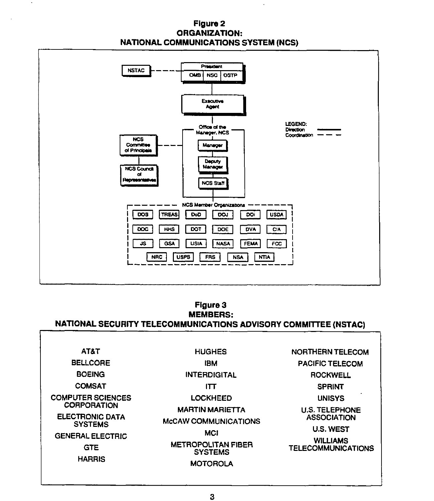## FIgure 2 ORGANIZATION: NATIONAL COMMUNICATIONS SYSTEM (NCS)

 $\bullet$ 



## Figure 3 MEMBERS: NATIONAL SECURITY TELECOMMUNICATIONS ADVISORY COMMITTEE (NSTAC)

| <b>AT&amp;T</b>                           | <b>HUGHES</b>                                         | <b>NORTHERN TELECOM</b>                      |
|-------------------------------------------|-------------------------------------------------------|----------------------------------------------|
| <b>BELLCORE</b>                           | IBM                                                   | <b>PACIFIC TELECOM</b>                       |
| <b>BOEING</b>                             | <b>INTERDIGITAL</b>                                   | <b>ROCKWELL</b>                              |
| <b>COMSAT</b>                             | ।π                                                    | <b>SPRINT</b>                                |
| <b>COMPUTER SCIENCES</b>                  | <b>LOCKHEED</b>                                       | <b>UNISYS</b>                                |
| <b>CORPORATION</b><br>ELECTRONIC DATA     | <b>MARTIN MARIETTA</b><br><b>McCAW COMMUNICATIONS</b> | <b>U.S. TELEPHONE</b><br><b>ASSOCIATION</b>  |
| <b>SYSTEMS</b><br><b>GENERAL ELECTRIC</b> | <b>MCI</b>                                            | <b>U.S. WEST</b>                             |
| <b>GTE</b>                                | <b>METROPOLITAN FIBER</b><br><b>SYSTEMS</b>           | <b>WILLIAMS</b><br><b>TELECOMMUNICATIONS</b> |
| <b>HARRIS</b>                             | <b>MOTOROLA</b>                                       |                                              |
|                                           |                                                       |                                              |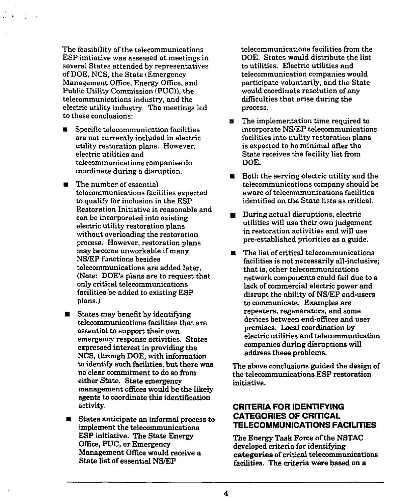The feasibility of the telecommunications ESP initiative was assessed at meetings in several States attended by representatives of DOE, NCS, the State {Emergency Management Office, Energy Office, and Public Utility Commission (PUC)), the telecommunications industry, and the electric utility industry. The meetings led to these conclusions:

- $\blacksquare$  Specific telecommunication facilities are not currently included in electric utility restoration plans. However, electric utilities and telecommunications companies do coordinate during a disruption.
- $\blacksquare$  The number of essential telecommunications facilities expected to qualify for inclusion in the ESP Restoration Initiative is reasonable and can be incorporated into existing electric utility restoration plans without overloading the restoration process. However, restoration plans may become unworkable if many NS/EP functions besides telecommunications are added later. (Note: DOE's plans are to request that only critical telecommunications facilities be added to existing ESP plans.)
- States may benefit by identifying telecommunications facilities that are essential to support their own emergency response activities. States expressed interest in providing the NCS, through DOE, with information to identify such facilities, but there was no clear commitment to do so from either State. State emergency management offices would be the likely agents to coordinate this identification activity.
- States anticipate an informal process to implement the telecommunications ESP initiative. The State Energy Office, PUC, or Emergency Management Office would receive a State list of essential NS/EP

telecommunications facilities from the DOE. States would distribute the list to utilities. Electric utilities and telecommunication companies would participate voluntarily, and the State would coordinate resolution of any difficulties that arise during the process.

- **n** The implementation time required to incorporate NS/EP telecommunications facilities into utility restoration plans is expected to be minimal after the State receives the facility list from DOE.
- $\blacksquare$  Both the serving electric utility and the telecommunications company should be aware oftelecommunications facilities identified on the State lists as criticaL
- **EXECUTE:** During actual disruptions, electric utilities will use their own judgement in restoration activities and will use pre-established priorities as a guide.
- a The list of critical telecommunications facilities is not necessarily all-inclusive; that is, other telecommunications network components could fail due to a lack of commercial electric power and disrupt the ability of NS/EP end-users to communicate. Examples are repeaters, regenerators, and some devices between end-offices and user premises. Local coordination by electric utilities and telecommunication companies during disruptions will address these problems.

The above conclusions guided the design of the telecommunications ESP restoration initiative.

## CRITERIA FOR IDENTIFYING CATEGORIES OF CRITICAL TELECOMMUNICATIONS FACILITIES

The Energy Task Force of the NSTAC developed criteria for identifying categories of critical telecommunications facilities. The criteria were based on a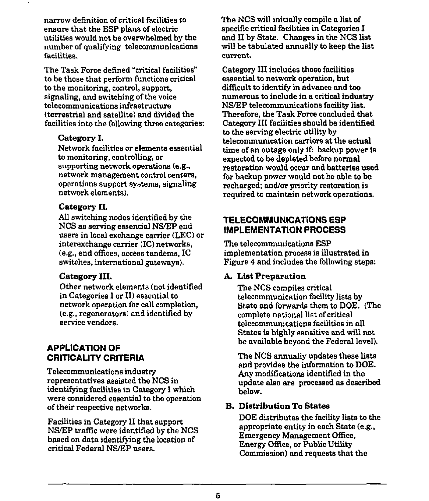narrow definition of critical facilities to ensure that the ESP plans of electric utilities would not be overwhelmed by the number of qualifying telecommunications facilities.

The Task Force defined "critical facilities" to be those that perform functions critical to the monitoring, control, support, signaling, and switching of the voice telecommunications infrastructure (terrestrial and satellite) and divided the facilities into the following three categories:

## Category I.

Network facilities or elements essential to monitoring, controlling, or supporting network operations (e,g, network management control centers, operations support systems, signaling network elements).

## Category II.

All switching nodes identified by the NCS as serving essential NS/EP end users in local exchange carrier (LEC) or interexchange carrier (IC) networks, (e.g., end offices, access tandems, IC switches, international gateways).

## Category III.

Other network elements (not identified in Categories I or II) essential to network operation for call completion, (e.g., regenerators) and identified by service vendors.

## APPLICATION OF CRITICALITY CRITERIA

Telecommunications industry representatives assisted the NCS in identifying facilities in Category I which were considered essential to the operation of their respective networks.

Facilities in Category II that support NS/EP traffic were identified by the NCS based on data identifying the location of critical Federal NS/EP users.

The NCS will initially compile a list of specific critical facilities in Categories I and II by State. Changes in the NCS list will be tabulated annually to keep the list current,

Category III includes those facilities essential to network operation, but difficult to identify in advance and too numerous to include in a critical industiy NS/EP telecommunications facility list. Therefore, the Task Force concluded that Category III facilities should be identified to the serving electric utility by telecommunication carriers at the actual time of an outage only if: backup power is expected to be depleted before normal restoration would occur and batteries used for backup power would not be able to be recharged; and/or priority restoration is required to maintain network operations.

# TELECOMMUNICATIONS ESP IMPLEMENTATION PROCESS

The telecommunications ESP implementation process is illustrated in Figure 4 and includes the following steps:

## A. Liat Preparation

The NCS compiles critical telecommunication facility lists by State and forwards them to DOE. (The complete national list of critical telecommunications facilities in all States is highly sensitive end will not be available beyond the Federal level).

The NCS annually updates these lists and provides the information to DOE. Any modifications identified in the update also are processed as described below.

## B. Distribution To States

DOE distributes the facility lists to the appropriate entity in each State (e.g., Emergency Management Office, Energy Office, or Public Utility Commission) and requests that the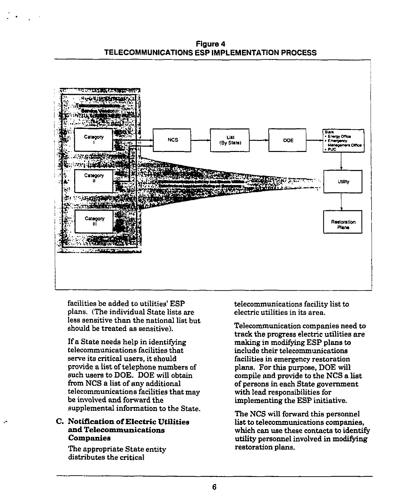Figure 4 TELECOMMUNICATIONS ESP IMPLEMENTATION PROCESS



facilities be added to utilities' ESP plans. (The individual State lists are less sensitive than the national list but should be treated as sensitive).

If a State needs help in identifying telecommunications facilities that serve its critical users, it should provide a list of telephone numbers of such users to DOE. DOE will obtain from NCS a list of any additional telecommunications facilities that may be involved and forward the supplemental information to the State.

### C. Notification of Electric Utilities and Telecommunications Companies

The appropriate State entity distributes the critical

telecommunications facility list to electric utilities in its area.

Telecommunication companies need to track the progress electric utilities are making in modifying ESP plans to include their telecommunications facilities in emergency restoration plans. Por this purpose, DOE will compile and provide to the NCS a list of persons in each State government with lead responsibilities for implementing the ESP initiative.

The NCS will forward this personnel list to telecommunications companies, which can use these contacts to identify utility personnel involved in modifying restoration plans.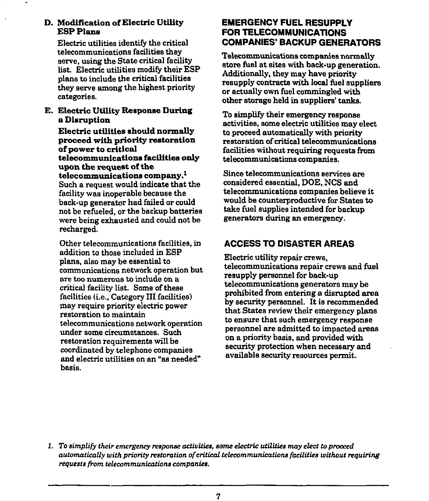## D. Modification of Electric Utility ESP Plans

Electric utilities identify the critical telecommunications facilities they serve, using the State critical facility list. Electric utilities modify their ESP plans to include the critical facilities they serve among the highest priority categories.

E. Electric Utility Response During a Disruption

Electric utilities should normally proceed with priority restoration of power to critical telecommunications facilities only upon the request of the telecommunications company.<sup>1</sup> Such a request would indicate that the facility was inoperable because the back-up generator had failed or could not be refueled, or the backup batteries were being exhausted and could not be recharged.

Other telecommunications facilities, in addition to those included in ESP plans, also may be essential to communications network operation but are too numerous to include on a critical facility list. Some of these facilities (*i.e.*, Category III facilities) may require priority electric power restoration to maintain telecommunications network operation under some circumstances. Such restoration requirements will be coordinated by telephone companies and electric utilities on an "as needed" basis.

## EMERGENCY FUEL RESUPPLY FOR TELECOMMUNICATIONS **COMPANIES' BACKUP GENERATORS**

Telecommunications companies normally store fuel at sites with back-up generation. Additionally, they may have priority resupply contracts with local fuel suppliers or actually own fuel commingled with other storage held in suppliers' tanks.

To simplify their emergency response activities, some electric utilities may elect to proceed automatically with priority restoration of critical telecommunications facilities without requiring requests from telecommunications companies.

Since telecommunications services are considered essential, DOE, NCS and telecommunications companies believe it, would be counterproductive for States to take fuel supplies intended for backup generators during an emergency.

# ACCESS TO DISASTER AREAS

Electric utility repair crews, telecommunications repair crews and fuel resupply personnel for back-up telecommunications generators may be prohibited from entering a disrupted area by security personnel. It is recommended that States review their emergency plans to ensure that such emergency response personnel are admitted to impacted areas on a priority basis, and provided with security protection when necessary and available security resources permit.

1. To simplify their emergency response activities, some electric utilities may elect to proceed automatically with priority restoration of critical telecommunications facilities without requiring requests from telecommunications companies.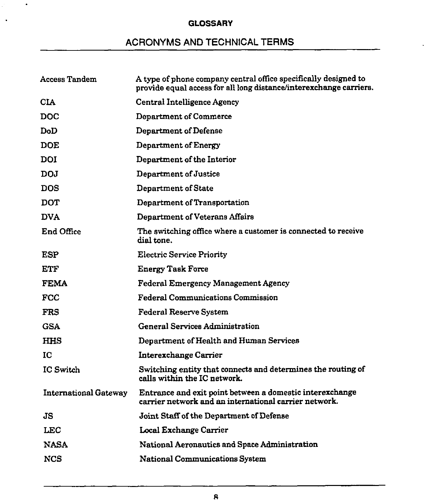## **GLOSSARY**

 $\sim$ 

 $\ddot{\phantom{a}}$ 

# ACRONYMS AND TECHNICAL TERMS

| <b>Access Tandem</b>         | A type of phone company central office specifically designed to<br>provide equal access for all long distance/interexchange carriers. |
|------------------------------|---------------------------------------------------------------------------------------------------------------------------------------|
| <b>CIA</b>                   | <b>Central Intelligence Agency</b>                                                                                                    |
| <b>DOC</b>                   | Department of Commerce                                                                                                                |
| DoD                          | Department of Defense                                                                                                                 |
| <b>DOE</b>                   | Department of Energy                                                                                                                  |
| <b>DOI</b>                   | Department of the Interior                                                                                                            |
| DOJ.                         | Department of Justice                                                                                                                 |
| <b>DOS</b>                   | Department of State                                                                                                                   |
| <b>DOT</b>                   | Department of Transportation                                                                                                          |
| <b>DVA</b>                   | Department of Veterans Affairs                                                                                                        |
| End Office                   | The switching office where a customer is connected to receive<br>dial tone.                                                           |
| <b>ESP</b>                   | <b>Electric Service Priority</b>                                                                                                      |
| ETF                          | <b>Energy Task Force</b>                                                                                                              |
| <b>FEMA</b>                  | <b>Federal Emergency Management Agency</b>                                                                                            |
| FCC                          | Federal Communications Commission                                                                                                     |
| <b>FRS</b>                   | <b>Federal Reserve System</b>                                                                                                         |
| <b>GSA</b>                   | <b>General Services Administration</b>                                                                                                |
| <b>HHS</b>                   | Department of Health and Human Services                                                                                               |
| IC                           | Interexchange Carrier                                                                                                                 |
| <b>IC Switch</b>             | Switching entity that connects and determines the routing of<br>calls within the IC network.                                          |
| <b>International Gateway</b> | Entrance and exit point between a domestic interexchange<br>carrier network and an international carrier network.                     |
| JS.                          | Joint Staff of the Department of Defense                                                                                              |
| LEC                          | <b>Local Exchange Carrier</b>                                                                                                         |
| <b>NASA</b>                  | National Aeronautics and Space Administration                                                                                         |
| NCS                          | <b>National Communications System</b>                                                                                                 |